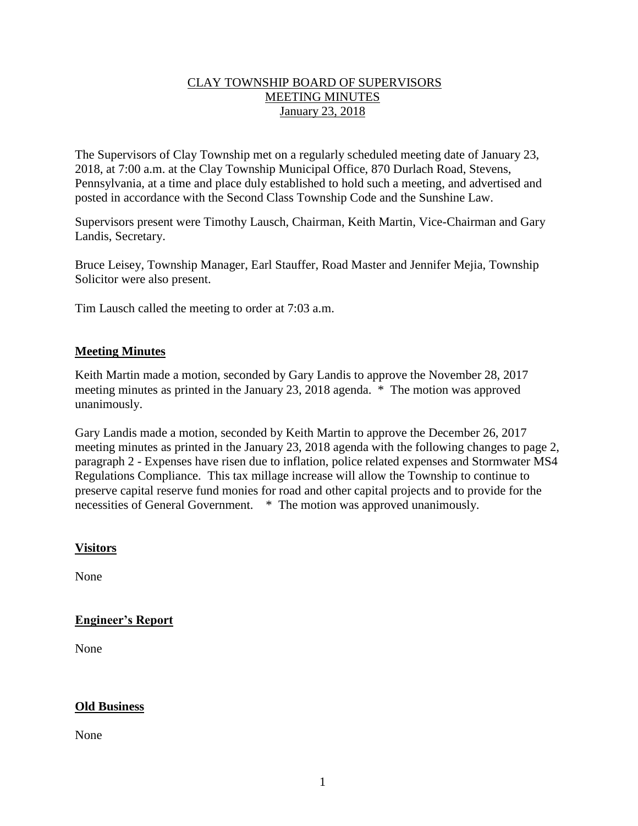## CLAY TOWNSHIP BOARD OF SUPERVISORS MEETING MINUTES January 23, 2018

The Supervisors of Clay Township met on a regularly scheduled meeting date of January 23, 2018, at 7:00 a.m. at the Clay Township Municipal Office, 870 Durlach Road, Stevens, Pennsylvania, at a time and place duly established to hold such a meeting, and advertised and posted in accordance with the Second Class Township Code and the Sunshine Law.

Supervisors present were Timothy Lausch, Chairman, Keith Martin, Vice-Chairman and Gary Landis, Secretary.

Bruce Leisey, Township Manager, Earl Stauffer, Road Master and Jennifer Mejia, Township Solicitor were also present.

Tim Lausch called the meeting to order at 7:03 a.m.

### **Meeting Minutes**

Keith Martin made a motion, seconded by Gary Landis to approve the November 28, 2017 meeting minutes as printed in the January 23, 2018 agenda. \* The motion was approved unanimously.

Gary Landis made a motion, seconded by Keith Martin to approve the December 26, 2017 meeting minutes as printed in the January 23, 2018 agenda with the following changes to page 2, paragraph 2 - Expenses have risen due to inflation, police related expenses and Stormwater MS4 Regulations Compliance. This tax millage increase will allow the Township to continue to preserve capital reserve fund monies for road and other capital projects and to provide for the necessities of General Government. \* The motion was approved unanimously.

#### **Visitors**

None

## **Engineer's Report**

None

#### **Old Business**

None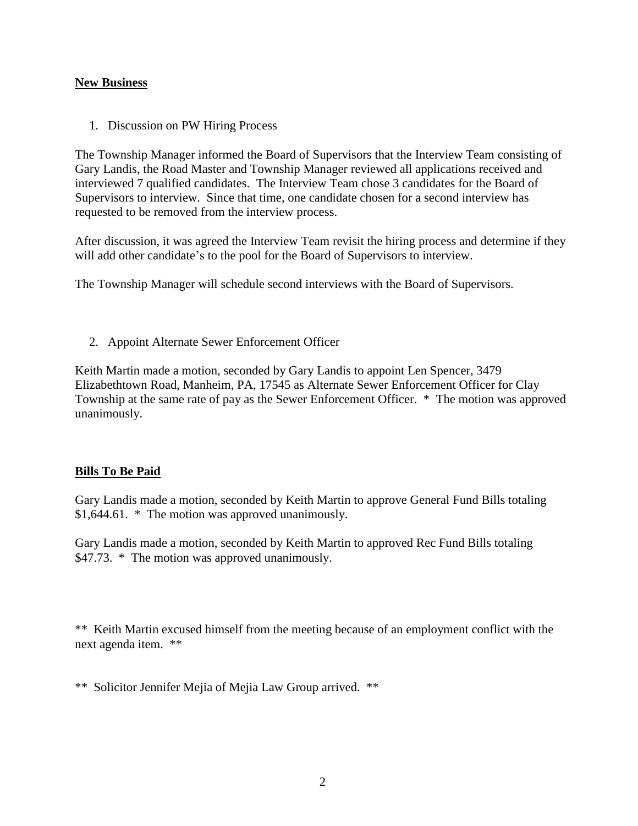#### **New Business**

1. Discussion on PW Hiring Process

The Township Manager informed the Board of Supervisors that the Interview Team consisting of Gary Landis, the Road Master and Township Manager reviewed all applications received and interviewed 7 qualified candidates. The Interview Team chose 3 candidates for the Board of Supervisors to interview. Since that time, one candidate chosen for a second interview has requested to be removed from the interview process.

After discussion, it was agreed the Interview Team revisit the hiring process and determine if they will add other candidate's to the pool for the Board of Supervisors to interview.

The Township Manager will schedule second interviews with the Board of Supervisors.

2. Appoint Alternate Sewer Enforcement Officer

Keith Martin made a motion, seconded by Gary Landis to appoint Len Spencer, 3479 Elizabethtown Road, Manheim, PA, 17545 as Alternate Sewer Enforcement Officer for Clay Township at the same rate of pay as the Sewer Enforcement Officer. \* The motion was approved unanimously.

#### **Bills To Be Paid**

Gary Landis made a motion, seconded by Keith Martin to approve General Fund Bills totaling \$1,644.61. \* The motion was approved unanimously.

Gary Landis made a motion, seconded by Keith Martin to approved Rec Fund Bills totaling \$47.73. \* The motion was approved unanimously.

\*\* Keith Martin excused himself from the meeting because of an employment conflict with the next agenda item. \*\*

\*\* Solicitor Jennifer Mejia of Mejia Law Group arrived. \*\*